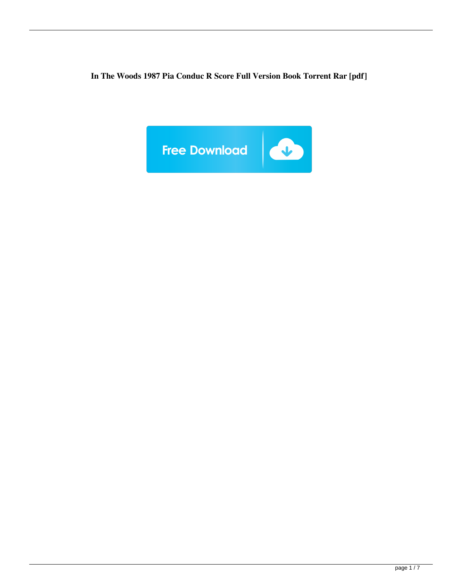**In The Woods 1987 Pia Conduc R Score Full Version Book Torrent Rar [pdf]**

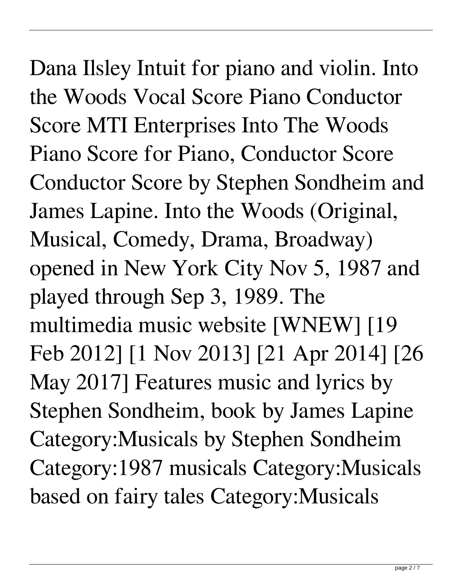Dana Ilsley Intuit for piano and violin. Into the Woods Vocal Score Piano Conductor Score MTI Enterprises Into The Woods Piano Score for Piano, Conductor Score Conductor Score by Stephen Sondheim and James Lapine. Into the Woods (Original, Musical, Comedy, Drama, Broadway) opened in New York City Nov 5, 1987 and played through Sep 3, 1989. The multimedia music website [WNEW] [19 Feb 2012] [1 Nov 2013] [21 Apr 2014] [26 May 2017] Features music and lyrics by Stephen Sondheim, book by James Lapine Category:Musicals by Stephen Sondheim Category:1987 musicals Category:Musicals based on fairy tales Category:Musicals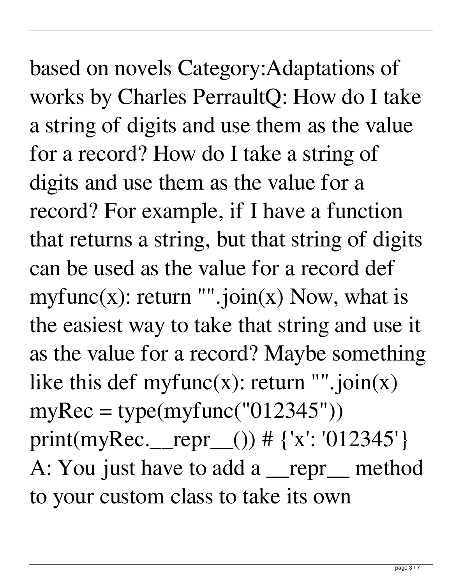## based on novels Category:Adaptations of works by Charles PerraultQ: How do I take a string of digits and use them as the value for a record? How do I take a string of digits and use them as the value for a record? For example, if I have a function that returns a string, but that string of digits can be used as the value for a record def myfunc(x): return "".join(x) Now, what is the easiest way to take that string and use it as the value for a record? Maybe something like this def myfunc $(x)$ : return "".join $(x)$  $myRec = type(myfunc("012345"))$ print(myRec.\_\_repr\_\_()) # {'x': '012345'} A: You just have to add a <u>repr</u> method

to your custom class to take its own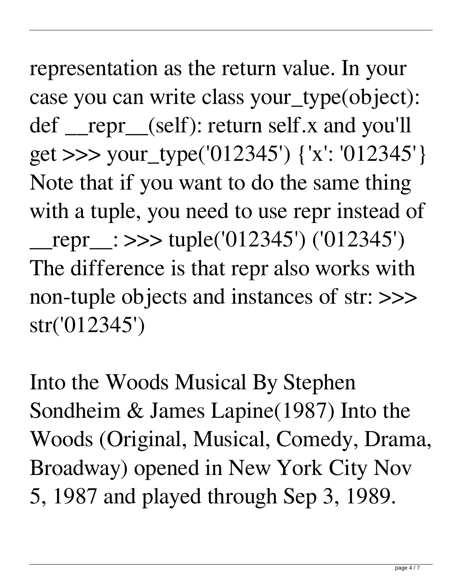representation as the return value. In your case you can write class your\_type(object): def \_\_repr\_\_(self): return self.x and you'll get >>> your\_type('012345') {'x': '012345'} Note that if you want to do the same thing with a tuple, you need to use repr instead of \_\_repr\_\_: >>> tuple('012345') ('012345') The difference is that repr also works with non-tuple objects and instances of str: >>> str('012345')

Into the Woods Musical By Stephen Sondheim & James Lapine(1987) Into the Woods (Original, Musical, Comedy, Drama, Broadway) opened in New York City Nov 5, 1987 and played through Sep 3, 1989.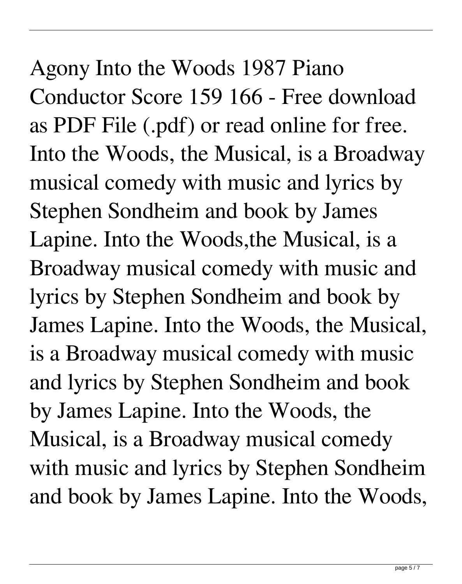## Agony Into the Woods 1987 Piano Conductor Score 159 166 - Free download as PDF File (.pdf) or read online for free. Into the Woods, the Musical, is a Broadway musical comedy with music and lyrics by Stephen Sondheim and book by James Lapine. Into the Woods,the Musical, is a Broadway musical comedy with music and lyrics by Stephen Sondheim and book by James Lapine. Into the Woods, the Musical, is a Broadway musical comedy with music and lyrics by Stephen Sondheim and book by James Lapine. Into the Woods, the Musical, is a Broadway musical comedy with music and lyrics by Stephen Sondheim and book by James Lapine. Into the Woods,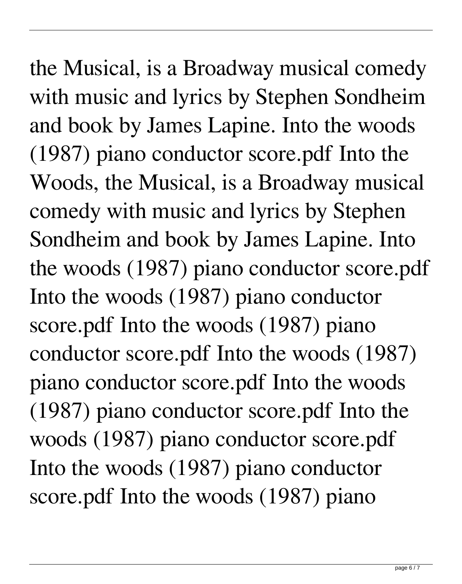the Musical, is a Broadway musical comedy with music and lyrics by Stephen Sondheim and book by James Lapine. Into the woods (1987) piano conductor score.pdf Into the Woods, the Musical, is a Broadway musical comedy with music and lyrics by Stephen Sondheim and book by James Lapine. Into the woods (1987) piano conductor score.pdf Into the woods (1987) piano conductor score.pdf Into the woods (1987) piano conductor score.pdf Into the woods (1987) piano conductor score.pdf Into the woods (1987) piano conductor score.pdf Into the woods (1987) piano conductor score.pdf Into the woods (1987) piano conductor score.pdf Into the woods (1987) piano